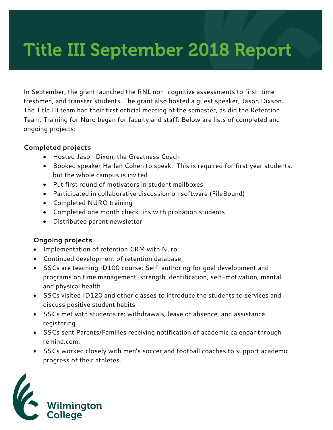# Title III September 2018 Report

In September, the grant launched the RNL non-cognitive assessments to first-time freshmen, and transfer students. The grant also hosted a guest speaker, Jason Dixson. The Title III team had their first official meeting of the semester, as did the Retention Team. Training for Nuro began for faculty and staff. Below are lists of completed and ongoing projects:

### **Completed projects**

- Hosted Jason Dixon, the Greatness Coach
- Booked speaker Harlan Cohen to speak. This is required for first year students, but the whole campus is invited
- Put first round of motivators in student mailboxes
- Participated in collaborative discussion on software (FileBound)
- Completed NURO training
- Completed one month check-ins with probation students
- Distributed parent newsletter

## **Ongoing projects**

- Implementation of retention CRM with Nuro
- Continued development of retention database
- SSCs are teaching ID100 course: Self-authoring for goal development and programs on time management, strength identification, self-motivation, mental and physical health
- SSCs visited ID120 and other classes to introduce the students to services and discuss positive student habits
- SSCs met with students re: withdrawals, leave of absence, and assistance registering.
- SSCs sent Parents/Families receiving notification of academic calendar through remind.com.
- SSCs worked closely with men's soccer and football coaches to support academic progress of their athletes.

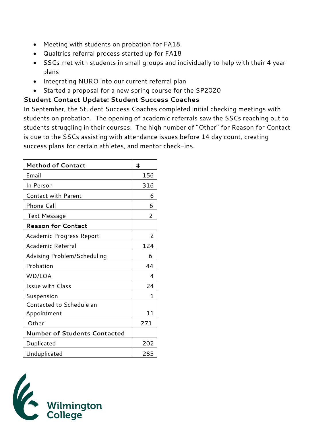- Meeting with students on probation for FA18.
- Qualtrics referral process started up for FA18
- SSCs met with students in small groups and individually to help with their 4 year plans
- Integrating NURO into our current referral plan
- Started a proposal for a new spring course for the SP2020

## **Student Contact Update: Student Success Coaches**

In September, the Student Success Coaches completed initial checking meetings with students on probation. The opening of academic referrals saw the SSCs reaching out to students struggling in their courses. The high number of "Other" for Reason for Contact is due to the SSCs assisting with attendance issues before 14 day count, creating success plans for certain athletes, and mentor check-ins.

| <b>Method of Contact</b>            | #   |
|-------------------------------------|-----|
| Email                               | 156 |
| In Person                           | 316 |
| Contact with Parent                 | 6   |
| <b>Phone Call</b>                   | 6   |
| Text Message                        | 2   |
| <b>Reason for Contact</b>           |     |
| Academic Progress Report            | 2   |
| Academic Referral                   | 124 |
| Advising Problem/Scheduling         | 6   |
| Probation                           | 44  |
| WD/LOA                              | 4   |
| Issue with Class                    | 24  |
| Suspension                          | 1   |
| Contacted to Schedule an            |     |
| Appointment                         | 11  |
| Other                               | 271 |
| <b>Number of Students Contacted</b> |     |
| Duplicated                          | 202 |
| Unduplicated                        | 285 |